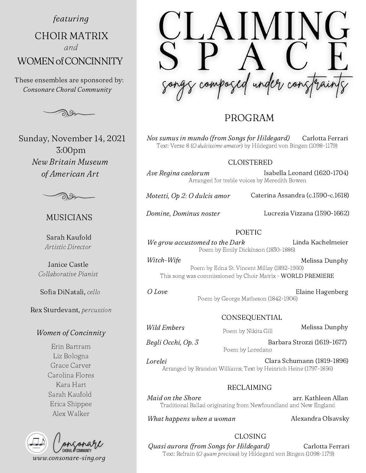featuring

CHOIR MATRIX WOMEN of CONCINNITY and

These ensembles are sponsored by: Consonare Choral Community



Sunday, November 14, 2021 3:00pm New Britain Museum of American Art



## MUSICIANS

Sarah Kaufold Artistic Director

Janice Castle Collaborative Pianist

Sofia DiNatali, cello

Rex Sturdevant, percussion

## Women of Concinnity

Erin Bartram Liz Bologna Grace Carver Carolina Flores Kara Hart Sarah Kaufold Erica Shippee Alex Walker



# PROGRAM

Nos sumus in mundo (from Songs for Hildegard) Carlotta Ferrari Text: Verse 8 (O dulcissime amator) by Hildegard von Bingen (1098-1179)

#### CLOISTERED

Ave Regina caelorum Arranged for treble voices by Meredith Bowen Isabella Leonard (1620-1704)

Motetti, Op 2: O dulcis amor Caterina Assandra (c.1590-c.1618)

Domine, Dominus noster Lucrezia Vizzana (1590-1662)

#### POETIC

We grow accustomed to the Dark Linda Kachelmeier Poem by Emily Dickinson (1830-1886)

Witch-Wife Melissa Dunphy Poem by Edna St. Vincent Millay (1892-1950) This song was commissioned by Choir Matrix - WORLD PREMIERE

O Love

Elaine Hagenberg Poem by George Matheson (1842-1906)

### CONSEQUENTIAL

Wild Embers

Begli Occhi, Op. 3

Poem by Nikita Gill

Melissa Dunphy

Barbara Strozzi (1619-1677) Poem by Loredano

Lorelei Clara Schumann (1819-1896) Arranged by Brandon Williams; Text by Heinrich Heine (1797-1856)

### RECLAIMING

Maid on the Shore arr. Kathleen Allan Traditional Ballad originating from Newfoundland and New England

What happens when a woman

Alexandra Olsavsky

CLOSING Quasi aurora (from Songs for Hildegard) Carlotta Ferrari Text: Refrain (O quam preciosa) by Hildegard von Bingen (1098-1179)